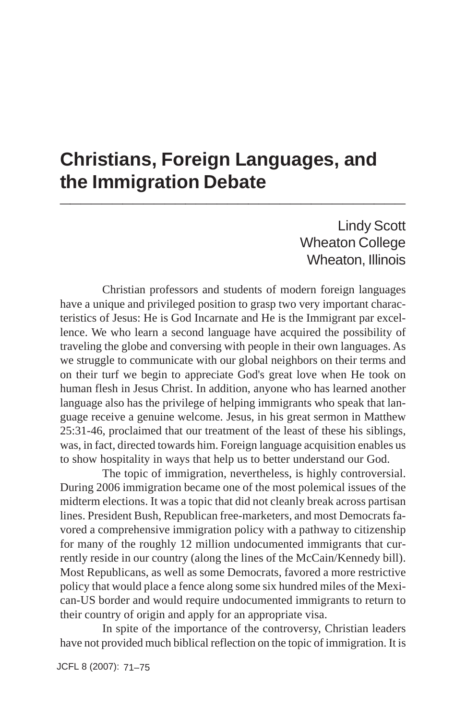## **Christians, Foreign Languages, and the Immigration Debate \_\_\_\_\_\_\_\_\_\_\_\_\_\_\_\_\_\_\_\_\_\_\_\_\_\_\_\_\_\_\_\_\_**

Lindy Scott Wheaton College Wheaton, Illinois

Christian professors and students of modern foreign languages have a unique and privileged position to grasp two very important characteristics of Jesus: He is God Incarnate and He is the Immigrant par excellence. We who learn a second language have acquired the possibility of traveling the globe and conversing with people in their own languages. As we struggle to communicate with our global neighbors on their terms and on their turf we begin to appreciate God's great love when He took on human flesh in Jesus Christ. In addition, anyone who has learned another language also has the privilege of helping immigrants who speak that language receive a genuine welcome. Jesus, in his great sermon in Matthew 25:31-46, proclaimed that our treatment of the least of these his siblings, was, in fact, directed towards him. Foreign language acquisition enables us to show hospitality in ways that help us to better understand our God.

The topic of immigration, nevertheless, is highly controversial. During 2006 immigration became one of the most polemical issues of the midterm elections. It was a topic that did not cleanly break across partisan lines. President Bush, Republican free-marketers, and most Democrats favored a comprehensive immigration policy with a pathway to citizenship for many of the roughly 12 million undocumented immigrants that currently reside in our country (along the lines of the McCain/Kennedy bill). Most Republicans, as well as some Democrats, favored a more restrictive policy that would place a fence along some six hundred miles of the Mexican-US border and would require undocumented immigrants to return to their country of origin and apply for an appropriate visa.

In spite of the importance of the controversy, Christian leaders have not provided much biblical reflection on the topic of immigration. It is

JCFL 8 (2007): 71–75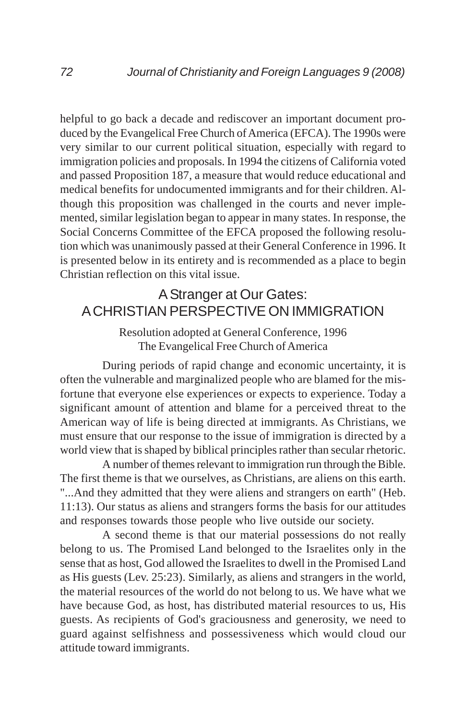helpful to go back a decade and rediscover an important document produced by the Evangelical Free Church of America (EFCA). The 1990s were very similar to our current political situation, especially with regard to immigration policies and proposals. In 1994 the citizens of California voted and passed Proposition 187, a measure that would reduce educational and medical benefits for undocumented immigrants and for their children. Although this proposition was challenged in the courts and never implemented, similar legislation began to appear in many states. In response, the Social Concerns Committee of the EFCA proposed the following resolution which was unanimously passed at their General Conference in 1996. It is presented below in its entirety and is recommended as a place to begin Christian reflection on this vital issue.

## A Stranger at Our Gates: A CHRISTIAN PERSPECTIVE ON IMMIGRATION

## Resolution adopted at General Conference, 1996 The Evangelical Free Church of America

During periods of rapid change and economic uncertainty, it is often the vulnerable and marginalized people who are blamed for the misfortune that everyone else experiences or expects to experience. Today a significant amount of attention and blame for a perceived threat to the American way of life is being directed at immigrants. As Christians, we must ensure that our response to the issue of immigration is directed by a world view that is shaped by biblical principles rather than secular rhetoric.

A number of themes relevant to immigration run through the Bible. The first theme is that we ourselves, as Christians, are aliens on this earth. "...And they admitted that they were aliens and strangers on earth" (Heb. 11:13). Our status as aliens and strangers forms the basis for our attitudes and responses towards those people who live outside our society.

A second theme is that our material possessions do not really belong to us. The Promised Land belonged to the Israelites only in the sense that as host, God allowed the Israelites to dwell in the Promised Land as His guests (Lev. 25:23). Similarly, as aliens and strangers in the world, the material resources of the world do not belong to us. We have what we have because God, as host, has distributed material resources to us, His guests. As recipients of God's graciousness and generosity, we need to guard against selfishness and possessiveness which would cloud our attitude toward immigrants.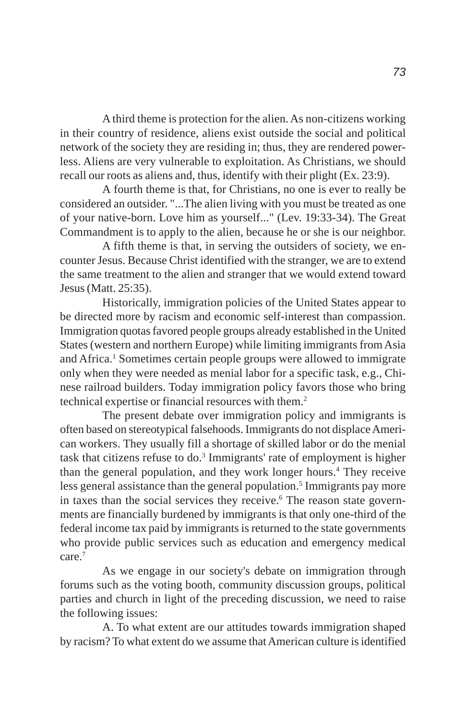A third theme is protection for the alien. As non-citizens working in their country of residence, aliens exist outside the social and political network of the society they are residing in; thus, they are rendered powerless. Aliens are very vulnerable to exploitation. As Christians, we should recall our roots as aliens and, thus, identify with their plight (Ex. 23:9).

A fourth theme is that, for Christians, no one is ever to really be considered an outsider. "...The alien living with you must be treated as one of your native-born. Love him as yourself..." (Lev. 19:33-34). The Great Commandment is to apply to the alien, because he or she is our neighbor.

A fifth theme is that, in serving the outsiders of society, we encounter Jesus. Because Christ identified with the stranger, we are to extend the same treatment to the alien and stranger that we would extend toward Jesus (Matt. 25:35).

Historically, immigration policies of the United States appear to be directed more by racism and economic self-interest than compassion. Immigration quotas favored people groups already established in the United States (western and northern Europe) while limiting immigrants from Asia and Africa.<sup>1</sup> Sometimes certain people groups were allowed to immigrate only when they were needed as menial labor for a specific task, e.g., Chinese railroad builders. Today immigration policy favors those who bring technical expertise or financial resources with them.<sup>2</sup>

The present debate over immigration policy and immigrants is often based on stereotypical falsehoods. Immigrants do not displace American workers. They usually fill a shortage of skilled labor or do the menial task that citizens refuse to do.<sup>3</sup> Immigrants' rate of employment is higher than the general population, and they work longer hours.<sup>4</sup> They receive less general assistance than the general population.<sup>5</sup> Immigrants pay more in taxes than the social services they receive.<sup>6</sup> The reason state governments are financially burdened by immigrants is that only one-third of the federal income tax paid by immigrants is returned to the state governments who provide public services such as education and emergency medical care.7

As we engage in our society's debate on immigration through forums such as the voting booth, community discussion groups, political parties and church in light of the preceding discussion, we need to raise the following issues:

A. To what extent are our attitudes towards immigration shaped by racism? To what extent do we assume that American culture is identified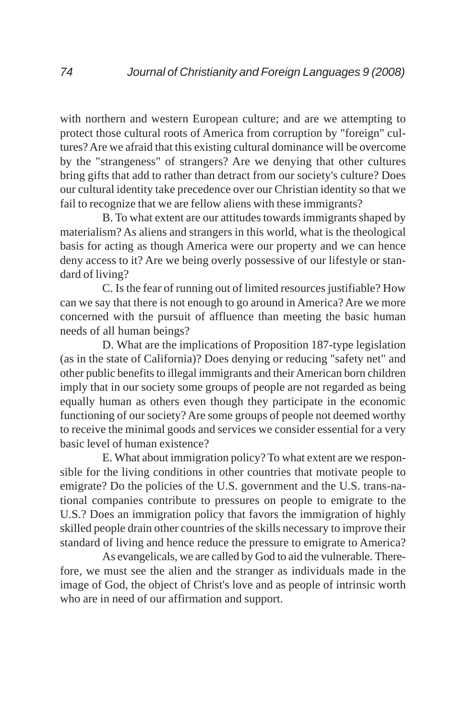with northern and western European culture; and are we attempting to protect those cultural roots of America from corruption by "foreign" cultures? Are we afraid that this existing cultural dominance will be overcome by the "strangeness" of strangers? Are we denying that other cultures bring gifts that add to rather than detract from our society's culture? Does our cultural identity take precedence over our Christian identity so that we fail to recognize that we are fellow aliens with these immigrants?

B. To what extent are our attitudes towards immigrants shaped by materialism? As aliens and strangers in this world, what is the theological basis for acting as though America were our property and we can hence deny access to it? Are we being overly possessive of our lifestyle or standard of living?

C. Is the fear of running out of limited resources justifiable? How can we say that there is not enough to go around in America? Are we more concerned with the pursuit of affluence than meeting the basic human needs of all human beings?

D. What are the implications of Proposition 187-type legislation (as in the state of California)? Does denying or reducing "safety net" and other public benefits to illegal immigrants and their American born children imply that in our society some groups of people are not regarded as being equally human as others even though they participate in the economic functioning of our society? Are some groups of people not deemed worthy to receive the minimal goods and services we consider essential for a very basic level of human existence?

E. What about immigration policy? To what extent are we responsible for the living conditions in other countries that motivate people to emigrate? Do the policies of the U.S. government and the U.S. trans-national companies contribute to pressures on people to emigrate to the U.S.? Does an immigration policy that favors the immigration of highly skilled people drain other countries of the skills necessary to improve their standard of living and hence reduce the pressure to emigrate to America?

As evangelicals, we are called by God to aid the vulnerable. Therefore, we must see the alien and the stranger as individuals made in the image of God, the object of Christ's love and as people of intrinsic worth who are in need of our affirmation and support.